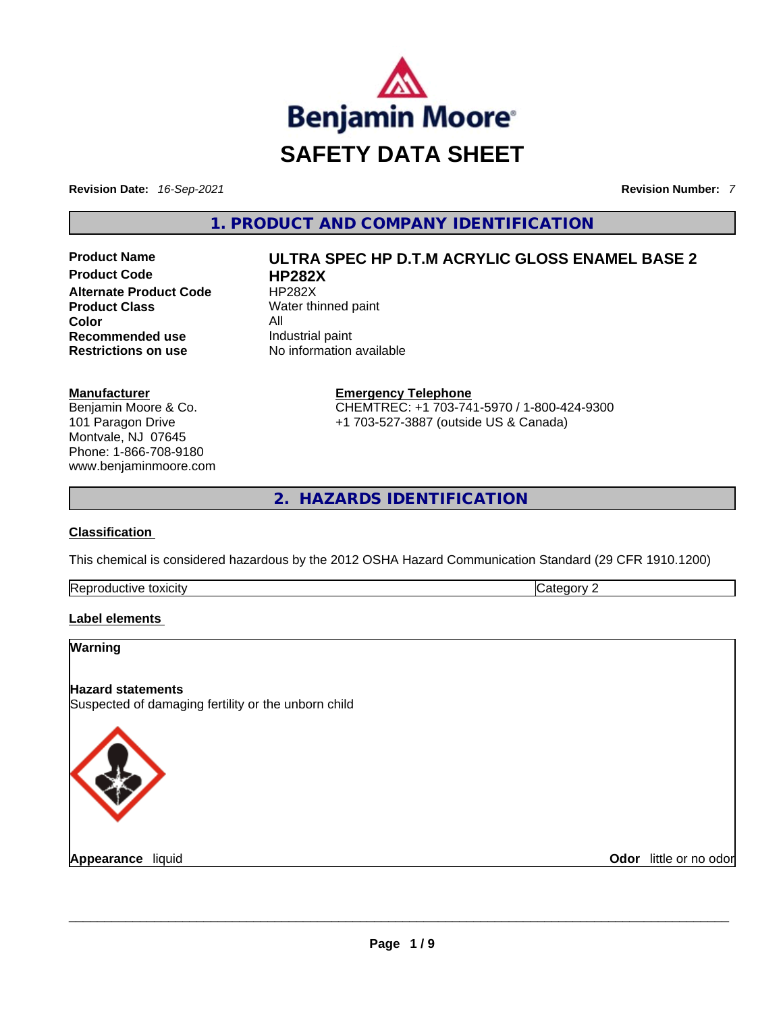

**Revision Date:** *16-Sep-2021* **Revision Number:** *7*

**1. PRODUCT AND COMPANY IDENTIFICATION** 

**Product Code HP282X Alternate Product Code HP282X Product Class** Water thinned paint **Color** All **Recommended use Industrial paint Restrictions on use** No information available

#### **Manufacturer**

Benjamin Moore & Co. 101 Paragon Drive Montvale, NJ 07645 Phone: 1-866-708-9180 www.benjaminmoore.com

# **Product Name ULTRA SPEC HP D.T.M ACRYLIC GLOSS ENAMEL BASE 2**

**Emergency Telephone** CHEMTREC: +1 703-741-5970 / 1-800-424-9300 +1 703-527-3887 (outside US & Canada)

**2. HAZARDS IDENTIFICATION** 

### **Classification**

This chemical is considered hazardous by the 2012 OSHA Hazard Communication Standard (29 CFR 1910.1200)

| Re <sub>i</sub><br>toxicity<br>$\ldots$<br>. | . |
|----------------------------------------------|---|
|                                              |   |

### **Label elements**

### **Warning**

### **Hazard statements**

Suspected of damaging fertility or the unborn child



**Appearance** liquid \_\_\_\_\_\_\_\_\_\_\_\_\_\_\_\_\_\_\_\_\_\_\_\_\_\_\_\_\_\_\_\_\_\_\_\_\_\_\_\_\_\_\_\_\_\_\_\_\_\_\_\_\_\_\_\_\_\_\_\_\_\_\_\_\_\_\_\_\_\_\_\_\_\_\_\_\_\_\_\_\_\_\_\_\_\_\_\_\_\_\_\_\_ **Odor** little or no odor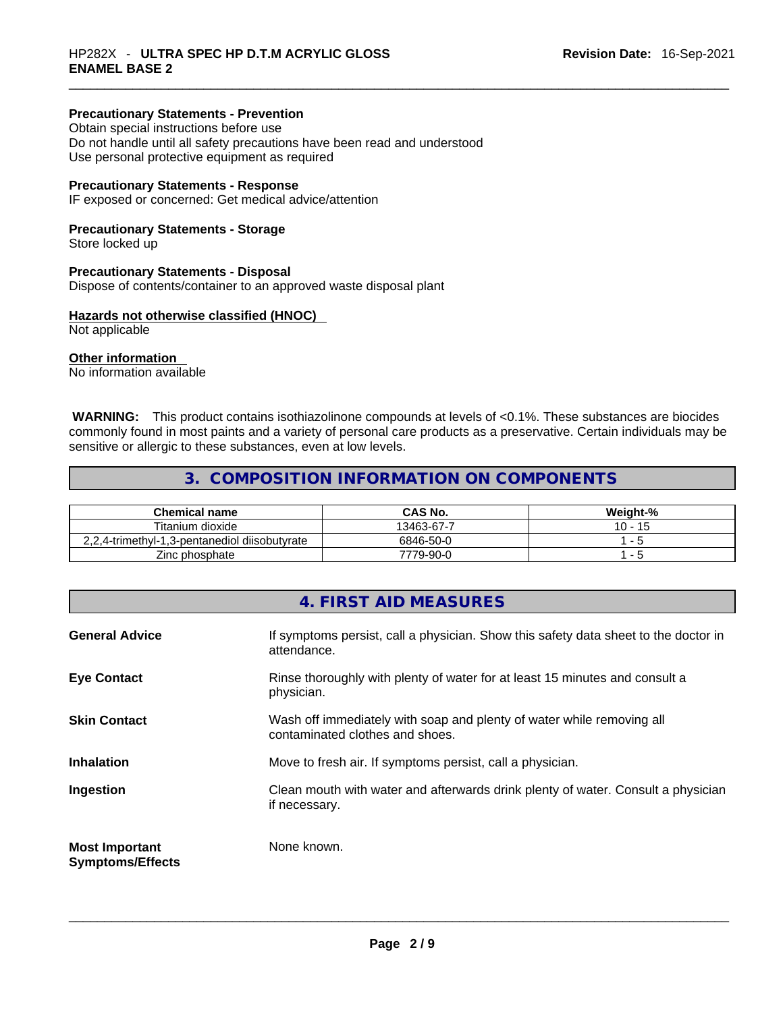### **Precautionary Statements - Prevention**

Obtain special instructions before use Do not handle until all safety precautions have been read and understood Use personal protective equipment as required

### **Precautionary Statements - Response**

IF exposed or concerned: Get medical advice/attention

### **Precautionary Statements - Storage**

Store locked up

#### **Precautionary Statements - Disposal**

Dispose of contents/container to an approved waste disposal plant

### **Hazards not otherwise classified (HNOC)**

Not applicable

### **Other information**

No information available

 **WARNING:** This product contains isothiazolinone compounds at levels of <0.1%. These substances are biocides commonly found in most paints and a variety of personal care products as a preservative. Certain individuals may be sensitive or allergic to these substances, even at low levels.

### **3. COMPOSITION INFORMATION ON COMPONENTS**

| <b>Chemical name</b>                          | CAS No.    | Weight-%  |
|-----------------------------------------------|------------|-----------|
| Titanium dioxide                              | 13463-67-7 | $10 - 15$ |
| 2,2,4-trimethyl-1,3-pentanediol diisobutyrate | 6846-50-0  |           |
| Zinc phosphate                                | 7779-90-0  |           |

### **4. FIRST AID MEASURES**

| <b>General Advice</b>                            | If symptoms persist, call a physician. Show this safety data sheet to the doctor in<br>attendance.       |
|--------------------------------------------------|----------------------------------------------------------------------------------------------------------|
| <b>Eye Contact</b>                               | Rinse thoroughly with plenty of water for at least 15 minutes and consult a<br>physician.                |
| <b>Skin Contact</b>                              | Wash off immediately with soap and plenty of water while removing all<br>contaminated clothes and shoes. |
| <b>Inhalation</b>                                | Move to fresh air. If symptoms persist, call a physician.                                                |
| Ingestion                                        | Clean mouth with water and afterwards drink plenty of water. Consult a physician<br>if necessary.        |
| <b>Most Important</b><br><b>Symptoms/Effects</b> | None known.                                                                                              |
|                                                  |                                                                                                          |
|                                                  |                                                                                                          |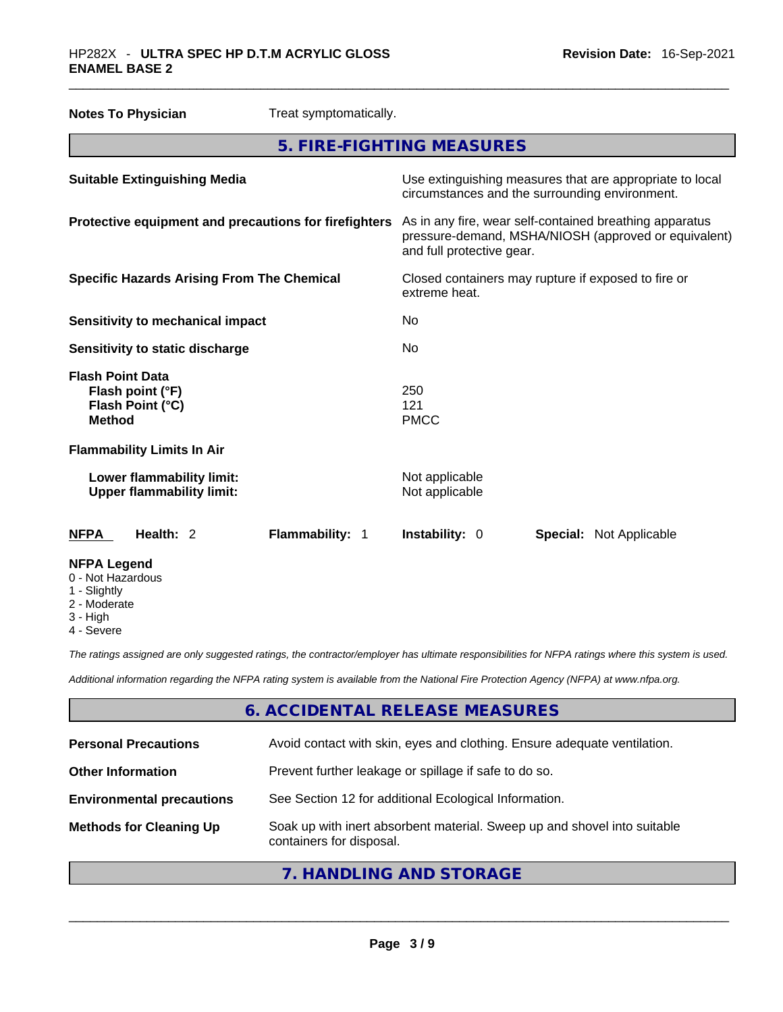| <b>Notes To Physician</b>                                                        | Treat symptomatically. |                                                                                                                                              |  |
|----------------------------------------------------------------------------------|------------------------|----------------------------------------------------------------------------------------------------------------------------------------------|--|
|                                                                                  |                        | 5. FIRE-FIGHTING MEASURES                                                                                                                    |  |
| <b>Suitable Extinguishing Media</b>                                              |                        | Use extinguishing measures that are appropriate to local<br>circumstances and the surrounding environment.                                   |  |
| Protective equipment and precautions for firefighters                            |                        | As in any fire, wear self-contained breathing apparatus<br>pressure-demand, MSHA/NIOSH (approved or equivalent)<br>and full protective gear. |  |
| <b>Specific Hazards Arising From The Chemical</b>                                |                        | Closed containers may rupture if exposed to fire or<br>extreme heat.                                                                         |  |
| <b>Sensitivity to mechanical impact</b>                                          |                        | No.                                                                                                                                          |  |
| Sensitivity to static discharge                                                  |                        | No.                                                                                                                                          |  |
| <b>Flash Point Data</b><br>Flash point (°F)<br>Flash Point (°C)<br><b>Method</b> |                        | 250<br>121<br><b>PMCC</b>                                                                                                                    |  |
| <b>Flammability Limits In Air</b>                                                |                        |                                                                                                                                              |  |
| Lower flammability limit:<br><b>Upper flammability limit:</b>                    |                        | Not applicable<br>Not applicable                                                                                                             |  |
| Health: 2<br><b>NFPA</b>                                                         | Flammability: 1        | Instability: 0<br><b>Special: Not Applicable</b>                                                                                             |  |
| <b>NFPA Legend</b><br>0 - Not Hazardous                                          |                        |                                                                                                                                              |  |

- 1 Slightly
- 2 Moderate
- 3 High
- 4 Severe

*The ratings assigned are only suggested ratings, the contractor/employer has ultimate responsibilities for NFPA ratings where this system is used.* 

*Additional information regarding the NFPA rating system is available from the National Fire Protection Agency (NFPA) at www.nfpa.org.* 

# **6. ACCIDENTAL RELEASE MEASURES**

| <b>Personal Precautions</b>      | Avoid contact with skin, eyes and clothing. Ensure adequate ventilation.                             |
|----------------------------------|------------------------------------------------------------------------------------------------------|
| <b>Other Information</b>         | Prevent further leakage or spillage if safe to do so.                                                |
| <b>Environmental precautions</b> | See Section 12 for additional Ecological Information.                                                |
| <b>Methods for Cleaning Up</b>   | Soak up with inert absorbent material. Sweep up and shovel into suitable<br>containers for disposal. |
|                                  |                                                                                                      |

**7. HANDLING AND STORAGE**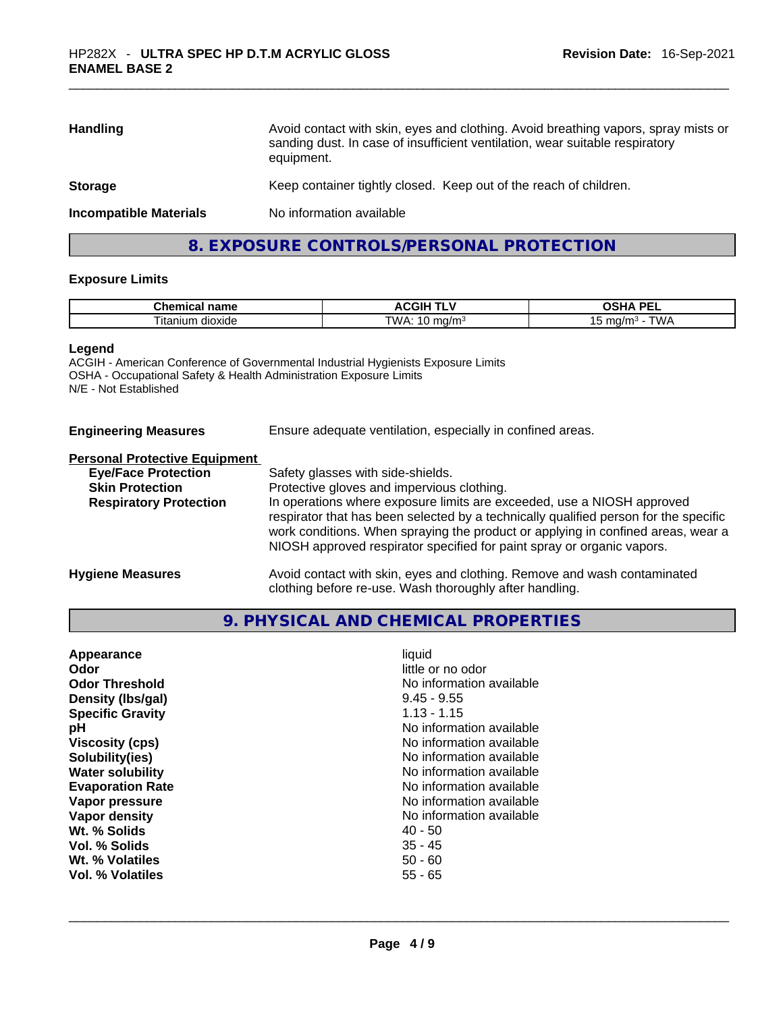| <b>Handling</b>               | Avoid contact with skin, eyes and clothing. Avoid breathing vapors, spray mists or<br>sanding dust. In case of insufficient ventilation, wear suitable respiratory<br>equipment. |
|-------------------------------|----------------------------------------------------------------------------------------------------------------------------------------------------------------------------------|
| <b>Storage</b>                | Keep container tightly closed. Keep out of the reach of children.                                                                                                                |
| <b>Incompatible Materials</b> | No information available                                                                                                                                                         |
|                               |                                                                                                                                                                                  |

# **8. EXPOSURE CONTROLS/PERSONAL PROTECTION**

### **Exposure Limits**

| <b>Chemical</b><br>name               | . .<br>ד שומח<br>л.<br>ACGII<br>. .              | <b>DE</b><br><b>OUA</b><br>י היה<br>-- |
|---------------------------------------|--------------------------------------------------|----------------------------------------|
| $\sim$<br><br>าium<br>dioxide<br>⊣tan | "WA.<br>. .<br>ma/m <sup>3</sup><br>.<br>$\cdot$ | <b>TIAIA</b><br>ma/m<br>VV/<br>. .     |

#### **Legend**

ACGIH - American Conference of Governmental Industrial Hygienists Exposure Limits OSHA - Occupational Safety & Health Administration Exposure Limits N/E - Not Established

| <b>Engineering Measures</b> | Ensure adequate ventilation, especially in confined areas. |
|-----------------------------|------------------------------------------------------------|
|                             |                                                            |

#### **Personal Protective Equipment**

| <b>Eye/Face Protection</b>    | Safety glasses with side-shields.                                                                                                                                                                                                                                                                                            |
|-------------------------------|------------------------------------------------------------------------------------------------------------------------------------------------------------------------------------------------------------------------------------------------------------------------------------------------------------------------------|
| <b>Skin Protection</b>        | Protective gloves and impervious clothing.                                                                                                                                                                                                                                                                                   |
| <b>Respiratory Protection</b> | In operations where exposure limits are exceeded, use a NIOSH approved<br>respirator that has been selected by a technically qualified person for the specific<br>work conditions. When spraying the product or applying in confined areas, wear a<br>NIOSH approved respirator specified for paint spray or organic vapors. |
| <b>Hygiene Measures</b>       | Avoid contact with skin, eyes and clothing. Remove and wash contaminated                                                                                                                                                                                                                                                     |

clothing before re-use. Wash thoroughly after handling.

# **9. PHYSICAL AND CHEMICAL PROPERTIES**

| Appearance              | liquid                   |
|-------------------------|--------------------------|
| Odor                    | little or no odor        |
| <b>Odor Threshold</b>   | No information available |
| Density (Ibs/gal)       | $9.45 - 9.55$            |
| <b>Specific Gravity</b> | $1.13 - 1.15$            |
| рH                      | No information available |
| <b>Viscosity (cps)</b>  | No information available |
| Solubility(ies)         | No information available |
| <b>Water solubility</b> | No information available |
| <b>Evaporation Rate</b> | No information available |
| Vapor pressure          | No information available |
| Vapor density           | No information available |
| Wt. % Solids            | 40 - 50                  |
| Vol. % Solids           | $35 - 45$                |
| Wt. % Volatiles         | $50 - 60$                |
| Vol. % Volatiles        | $55 - 65$                |
|                         |                          |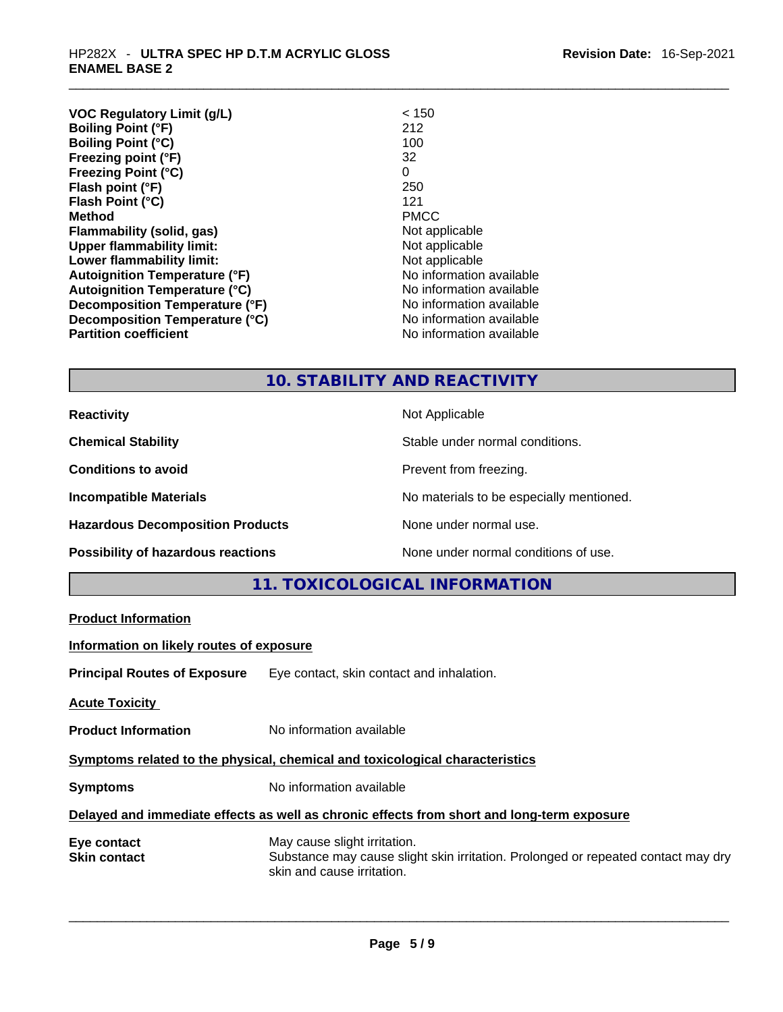| Revision Date: 16-Sep-2021 |
|----------------------------|
|----------------------------|

| <b>VOC Regulatory Limit (g/L)</b>    | < 150                    |
|--------------------------------------|--------------------------|
| <b>Boiling Point (°F)</b>            | 212                      |
| <b>Boiling Point (°C)</b>            | 100                      |
| Freezing point (°F)                  | 32                       |
| <b>Freezing Point (°C)</b>           | 0                        |
| Flash point (°F)                     | 250                      |
| Flash Point (°C)                     | 121                      |
| <b>Method</b>                        | <b>PMCC</b>              |
| Flammability (solid, gas)            | Not applicable           |
| <b>Upper flammability limit:</b>     | Not applicable           |
| Lower flammability limit:            | Not applicable           |
| <b>Autoignition Temperature (°F)</b> | No information available |
| <b>Autoignition Temperature (°C)</b> | No information available |
| Decomposition Temperature (°F)       | No information available |
| Decomposition Temperature (°C)       | No information available |
| <b>Partition coefficient</b>         | No information available |

# **10. STABILITY AND REACTIVITY**

**Reactivity Not Applicable Not Applicable Chemical Stability Chemical Stability** Stable under normal conditions. **Conditions to avoid Prevent from freezing. Incompatible Materials Incompatible Materials Materials No materials to be especially mentioned. Hazardous Decomposition Products** None under normal use. **Possibility of hazardous reactions** None under normal conditions of use.

**11. TOXICOLOGICAL INFORMATION** 

| <b>Product Information</b>               |                                                                                                                                                 |
|------------------------------------------|-------------------------------------------------------------------------------------------------------------------------------------------------|
| Information on likely routes of exposure |                                                                                                                                                 |
|                                          | <b>Principal Routes of Exposure</b> Eye contact, skin contact and inhalation.                                                                   |
| <b>Acute Toxicity</b>                    |                                                                                                                                                 |
| <b>Product Information</b>               | No information available                                                                                                                        |
|                                          | Symptoms related to the physical, chemical and toxicological characteristics                                                                    |
| <b>Symptoms</b>                          | No information available                                                                                                                        |
|                                          | Delayed and immediate effects as well as chronic effects from short and long-term exposure                                                      |
| Eye contact<br><b>Skin contact</b>       | May cause slight irritation.<br>Substance may cause slight skin irritation. Prolonged or repeated contact may dry<br>skin and cause irritation. |
|                                          |                                                                                                                                                 |
|                                          |                                                                                                                                                 |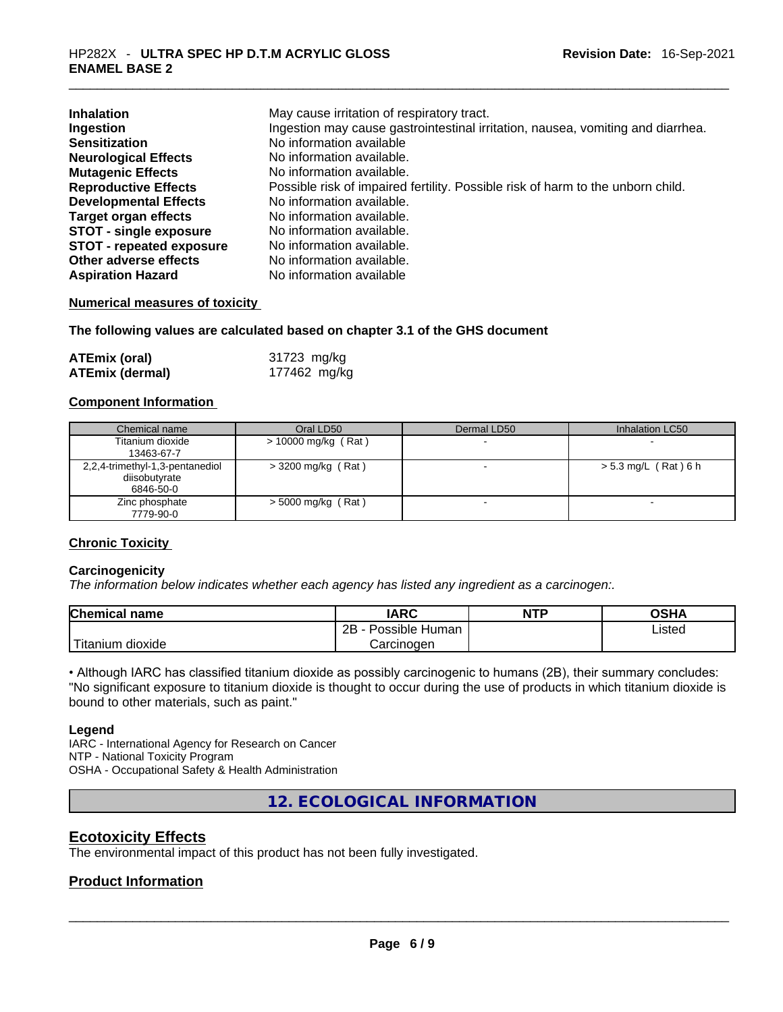| <b>Inhalation</b>               | May cause irritation of respiratory tract.                                      |
|---------------------------------|---------------------------------------------------------------------------------|
| Ingestion                       | Ingestion may cause gastrointestinal irritation, nausea, vomiting and diarrhea. |
| <b>Sensitization</b>            | No information available                                                        |
| <b>Neurological Effects</b>     | No information available.                                                       |
| <b>Mutagenic Effects</b>        | No information available.                                                       |
| <b>Reproductive Effects</b>     | Possible risk of impaired fertility. Possible risk of harm to the unborn child. |
| <b>Developmental Effects</b>    | No information available.                                                       |
| <b>Target organ effects</b>     | No information available.                                                       |
| <b>STOT - single exposure</b>   | No information available.                                                       |
| <b>STOT - repeated exposure</b> | No information available.                                                       |
| Other adverse effects           | No information available.                                                       |
| <b>Aspiration Hazard</b>        | No information available                                                        |

### **Numerical measures of toxicity**

### **The following values are calculated based on chapter 3.1 of the GHS document**

| <b>ATEmix (oral)</b>   | 31723 mg/kg  |
|------------------------|--------------|
| <b>ATEmix (dermal)</b> | 177462 mg/kg |

### **Component Information**

| Chemical name                                                 | Oral LD50             | Dermal LD50 | Inhalation LC50          |
|---------------------------------------------------------------|-----------------------|-------------|--------------------------|
| Titanium dioxide<br>13463-67-7                                | $> 10000$ mg/kg (Rat) |             |                          |
| 2,2,4-trimethyl-1,3-pentanediol<br>diisobutyrate<br>6846-50-0 | $>$ 3200 mg/kg (Rat)  |             | $> 5.3$ mg/L (Rat) 6 h   |
| Zinc phosphate<br>7779-90-0                                   | $>$ 5000 mg/kg (Rat)  |             | $\overline{\phantom{a}}$ |

### **Chronic Toxicity**

#### **Carcinogenicity**

*The information below indicates whether each agency has listed any ingredient as a carcinogen:.* 

| <b>Chemical name</b> | IARC                 | <b>NTP</b> | OSHA   |
|----------------------|----------------------|------------|--------|
|                      | 2B<br>Possible Human |            | Listed |
| Titanium<br>dioxide  | Carcinogen           |            |        |

• Although IARC has classified titanium dioxide as possibly carcinogenic to humans (2B), their summary concludes: "No significant exposure to titanium dioxide is thought to occur during the use of products in which titanium dioxide is bound to other materials, such as paint."

### **Legend**

IARC - International Agency for Research on Cancer NTP - National Toxicity Program OSHA - Occupational Safety & Health Administration

**12. ECOLOGICAL INFORMATION** 

### **Ecotoxicity Effects**

The environmental impact of this product has not been fully investigated.

# **Product Information**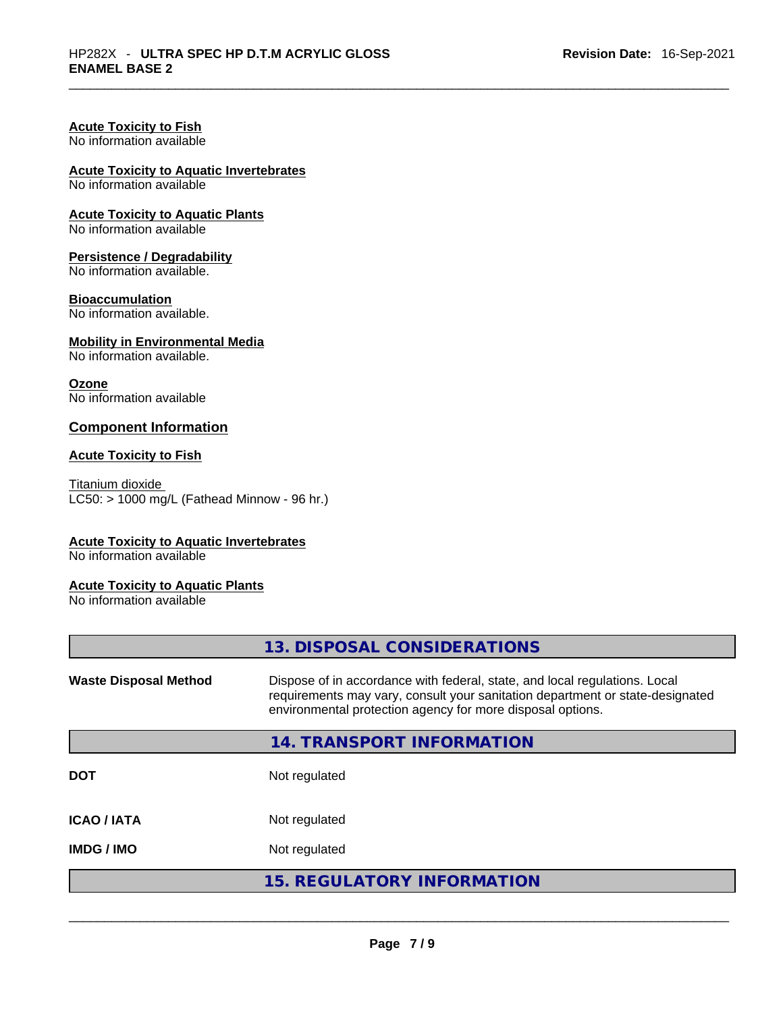### **Acute Toxicity to Fish**

No information available

# **Acute Toxicity to Aquatic Invertebrates**

No information available

# **Acute Toxicity to Aquatic Plants**

No information available

### **Persistence / Degradability**

No information available.

#### **Bioaccumulation**

No information available.

#### **Mobility in Environmental Media**

No information available.

### **Ozone**

No information available

### **Component Information**

### **Acute Toxicity to Fish**

Titanium dioxide  $LCS0:$  > 1000 mg/L (Fathead Minnow - 96 hr.)

### **Acute Toxicity to Aquatic Invertebrates**

No information available

### **Acute Toxicity to Aquatic Plants**

No information available

|                              | 13. DISPOSAL CONSIDERATIONS                                                                                                                                                                                               |
|------------------------------|---------------------------------------------------------------------------------------------------------------------------------------------------------------------------------------------------------------------------|
| <b>Waste Disposal Method</b> | Dispose of in accordance with federal, state, and local regulations. Local<br>requirements may vary, consult your sanitation department or state-designated<br>environmental protection agency for more disposal options. |
|                              | 14. TRANSPORT INFORMATION                                                                                                                                                                                                 |
| <b>DOT</b>                   | Not regulated                                                                                                                                                                                                             |
| <b>ICAO / IATA</b>           | Not regulated                                                                                                                                                                                                             |
| <b>IMDG / IMO</b>            | Not regulated                                                                                                                                                                                                             |
|                              | <b>15. REGULATORY INFORMATION</b>                                                                                                                                                                                         |
|                              |                                                                                                                                                                                                                           |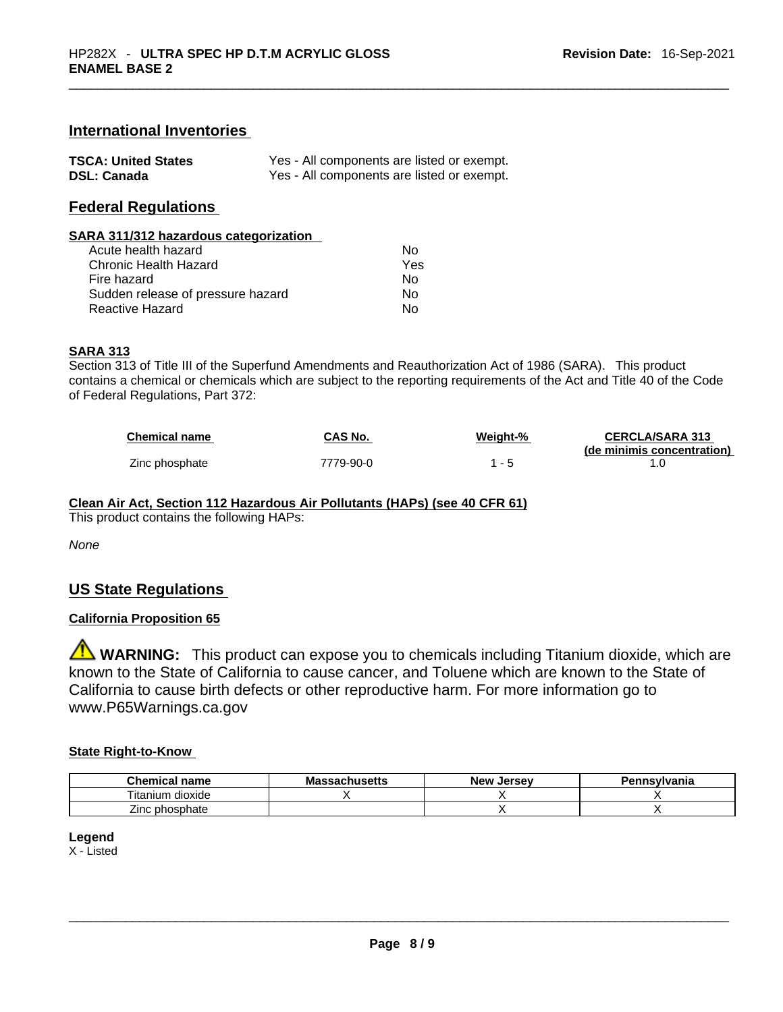### **International Inventories**

| <b>TSCA: United States</b> | Yes - All components are listed or exempt. |
|----------------------------|--------------------------------------------|
| <b>DSL: Canada</b>         | Yes - All components are listed or exempt. |

# **Federal Regulations**

#### **SARA 311/312 hazardous categorization**

| Acute health hazard               | No  |
|-----------------------------------|-----|
| Chronic Health Hazard             | Yes |
| Fire hazard                       | Nο  |
| Sudden release of pressure hazard | Nο  |
| Reactive Hazard                   | Nο  |

### **SARA 313**

Section 313 of Title III of the Superfund Amendments and Reauthorization Act of 1986 (SARA). This product contains a chemical or chemicals which are subject to the reporting requirements of the Act and Title 40 of the Code of Federal Regulations, Part 372:

| <b>Chemical name</b> | CAS No.   | Weight-% | <b>CERCLA/SARA 313</b>     |
|----------------------|-----------|----------|----------------------------|
|                      |           |          | (de minimis concentration) |
| Zinc phosphate       | 7779-90-0 |          |                            |

**Clean Air Act,Section 112 Hazardous Air Pollutants (HAPs) (see 40 CFR 61)**

This product contains the following HAPs:

*None*

### **US State Regulations**

### **California Proposition 65**

**WARNING:** This product can expose you to chemicals including Titanium dioxide, which are known to the State of California to cause cancer, and Toluene which are known to the State of California to cause birth defects or other reproductive harm. For more information go to www.P65Warnings.ca.gov

### **State Right-to-Know**

| Chemical<br>name             | <b>Massachusetts</b> | . .<br>. Jersev<br><b>New</b> | Pennsylvania |
|------------------------------|----------------------|-------------------------------|--------------|
| <br>÷.<br>dioxide<br>itanium |                      |                               |              |
| Zinc phosphate               |                      |                               |              |

### **Legend**

X - Listed